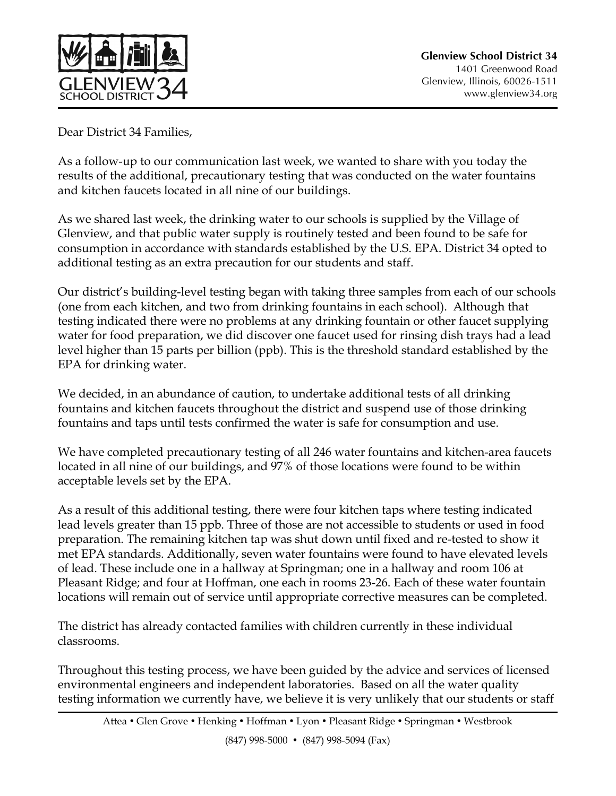

Dear District 34 Families,

As a follow-up to our communication last week, we wanted to share with you today the results of the additional, precautionary testing that was conducted on the water fountains and kitchen faucets located in all nine of our buildings.

As we shared last week, the drinking water to our schools is supplied by the Village of Glenview, and that public water supply is routinely tested and been found to be safe for consumption in accordance with standards established by the U.S. EPA. District 34 opted to additional testing as an extra precaution for our students and staff.

Our district's building-level testing began with taking three samples from each of our schools (one from each kitchen, and two from drinking fountains in each school). Although that testing indicated there were no problems at any drinking fountain or other faucet supplying water for food preparation, we did discover one faucet used for rinsing dish trays had a lead level higher than 15 parts per billion (ppb). This is the threshold standard established by the EPA for drinking water.

We decided, in an abundance of caution, to undertake additional tests of all drinking fountains and kitchen faucets throughout the district and suspend use of those drinking fountains and taps until tests confirmed the water is safe for consumption and use.

We have completed precautionary testing of all 246 water fountains and kitchen-area faucets located in all nine of our buildings, and 97% of those locations were found to be within acceptable levels set by the EPA.

As a result of this additional testing, there were four kitchen taps where testing indicated lead levels greater than 15 ppb. Three of those are not accessible to students or used in food preparation. The remaining kitchen tap was shut down until fixed and re-tested to show it met EPA standards. Additionally, seven water fountains were found to have elevated levels of lead. These include one in a hallway at Springman; one in a hallway and room 106 at Pleasant Ridge; and four at Hoffman, one each in rooms 23-26. Each of these water fountain locations will remain out of service until appropriate corrective measures can be completed.

The district has already contacted families with children currently in these individual classrooms.

Throughout this testing process, we have been guided by the advice and services of licensed environmental engineers and independent laboratories. Based on all the water quality testing information we currently have, we believe it is very unlikely that our students or staff

(847) 998-5000 • (847) 998-5094 (Fax)